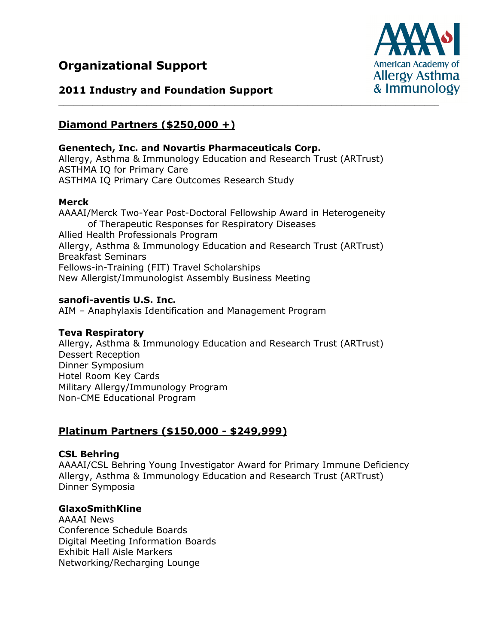# **Organizational Support**



## **2011 Industry and Foundation Support**

# **Diamond Partners (\$250,000 +)**

#### **Genentech, Inc. and Novartis Pharmaceuticals Corp.**

Allergy, Asthma & Immunology Education and Research Trust (ARTrust) ASTHMA IQ for Primary Care ASTHMA IQ Primary Care Outcomes Research Study

#### **Merck**

AAAAI/Merck Two-Year Post-Doctoral Fellowship Award in Heterogeneity of Therapeutic Responses for Respiratory Diseases Allied Health Professionals Program Allergy, Asthma & Immunology Education and Research Trust (ARTrust) Breakfast Seminars Fellows-in-Training (FIT) Travel Scholarships New Allergist/Immunologist Assembly Business Meeting

### **sanofi-aventis U.S. Inc.**

AIM – Anaphylaxis Identification and Management Program

### **Teva Respiratory**

Allergy, Asthma & Immunology Education and Research Trust (ARTrust) Dessert Reception Dinner Symposium Hotel Room Key Cards Military Allergy/Immunology Program Non-CME Educational Program

## **Platinum Partners (\$150,000 - \$249,999)**

### **CSL Behring**

AAAAI/CSL Behring Young Investigator Award for Primary Immune Deficiency Allergy, Asthma & Immunology Education and Research Trust (ARTrust) Dinner Symposia

### **GlaxoSmithKline**

AAAAI News Conference Schedule Boards Digital Meeting Information Boards Exhibit Hall Aisle Markers Networking/Recharging Lounge